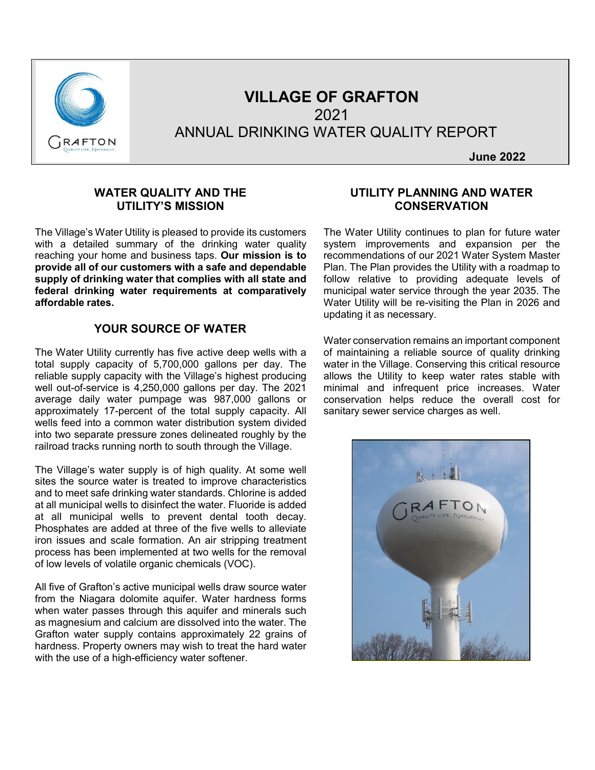

# **VILLAGE OF GRAFTON** 2021 ANNUAL DRINKING WATER QUALITY REPORT

**June 2022**

#### **WATER QUALITY AND THE UTILITY'S MISSION**

The Village's Water Utility is pleased to provide its customers with a detailed summary of the drinking water quality reaching your home and business taps. **Our mission is to provide all of our customers with a safe and dependable supply of drinking water that complies with all state and federal drinking water requirements at comparatively affordable rates.**

#### **YOUR SOURCE OF WATER**

The Water Utility currently has five active deep wells with a total supply capacity of 5,700,000 gallons per day. The reliable supply capacity with the Village's highest producing well out-of-service is 4,250,000 gallons per day. The 2021 average daily water pumpage was 987,000 gallons or approximately 17-percent of the total supply capacity. All wells feed into a common water distribution system divided into two separate pressure zones delineated roughly by the railroad tracks running north to south through the Village.

The Village's water supply is of high quality. At some well sites the source water is treated to improve characteristics and to meet safe drinking water standards. Chlorine is added at all municipal wells to disinfect the water. Fluoride is added at all municipal wells to prevent dental tooth decay. Phosphates are added at three of the five wells to alleviate iron issues and scale formation. An air stripping treatment process has been implemented at two wells for the removal of low levels of volatile organic chemicals (VOC).

All five of Grafton's active municipal wells draw source water from the Niagara dolomite aquifer. Water hardness forms when water passes through this aquifer and minerals such as magnesium and calcium are dissolved into the water. The Grafton water supply contains approximately 22 grains of hardness. Property owners may wish to treat the hard water with the use of a high-efficiency water softener.

#### **UTILITY PLANNING AND WATER CONSERVATION**

The Water Utility continues to plan for future water system improvements and expansion per the recommendations of our 2021 Water System Master Plan. The Plan provides the Utility with a roadmap to follow relative to providing adequate levels of municipal water service through the year 2035. The Water Utility will be re-visiting the Plan in 2026 and updating it as necessary.

Water conservation remains an important component of maintaining a reliable source of quality drinking water in the Village. Conserving this critical resource allows the Utility to keep water rates stable with minimal and infrequent price increases. Water conservation helps reduce the overall cost for sanitary sewer service charges as well.

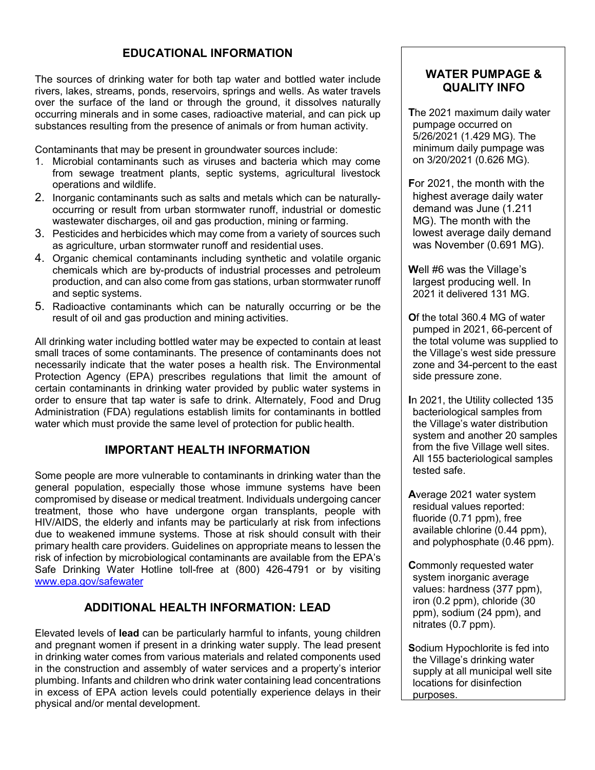# **EDUCATIONAL INFORMATION**

The sources of drinking water for both tap water and bottled water include rivers, lakes, streams, ponds, reservoirs, springs and wells. As water travels over the surface of the land or through the ground, it dissolves naturally occurring minerals and in some cases, radioactive material, and can pick up substances resulting from the presence of animals or from human activity.

Contaminants that may be present in groundwater sources include:

- 1. Microbial contaminants such as viruses and bacteria which may come from sewage treatment plants, septic systems, agricultural livestock operations and wildlife.
- 2. Inorganic contaminants such as salts and metals which can be naturallyoccurring or result from urban stormwater runoff, industrial or domestic wastewater discharges, oil and gas production, mining or farming.
- 3. Pesticides and herbicides which may come from a variety of sources such as agriculture, urban stormwater runoff and residential uses.
- 4. Organic chemical contaminants including synthetic and volatile organic chemicals which are by-products of industrial processes and petroleum production, and can also come from gas stations, urban stormwater runoff and septic systems.
- 5. Radioactive contaminants which can be naturally occurring or be the result of oil and gas production and mining activities.

All drinking water including bottled water may be expected to contain at least small traces of some contaminants. The presence of contaminants does not necessarily indicate that the water poses a health risk. The Environmental Protection Agency (EPA) prescribes regulations that limit the amount of certain contaminants in drinking water provided by public water systems in order to ensure that tap water is safe to drink. Alternately, Food and Drug Administration (FDA) regulations establish limits for contaminants in bottled water which must provide the same level of protection for public health.

#### **IMPORTANT HEALTH INFORMATION**

Some people are more vulnerable to contaminants in drinking water than the general population, especially those whose immune systems have been compromised by disease or medical treatment. Individuals undergoing cancer treatment, those who have undergone organ transplants, people with HIV/AIDS, the elderly and infants may be particularly at risk from infections due to weakened immune systems. Those at risk should consult with their primary health care providers. Guidelines on appropriate means to lessen the risk of infection by microbiological contaminants are available from the EPA's Safe Drinking Water Hotline toll-free at (800) 426-4791 or by visiting www.epa.gov/safewater

#### **ADDITIONAL HEALTH INFORMATION: LEAD**

Elevated levels of **lead** can be particularly harmful to infants, young children and pregnant women if present in a drinking water supply. The lead present in drinking water comes from various materials and related components used in the construction and assembly of water services and a property's interior plumbing. Infants and children who drink water containing lead concentrations in excess of EPA action levels could potentially experience delays in their physical and/or mental development.

#### **WATER PUMPAGE & QUALITY INFO**

**T**he 2021 maximum daily water pumpage occurred on 5/26/2021 (1.429 MG). The minimum daily pumpage was on 3/20/2021 (0.626 MG).

**F**or 2021, the month with the highest average daily water demand was June (1.211 MG). The month with the lowest average daily demand was November (0.691 MG).

**W**ell #6 was the Village's largest producing well. In 2021 it delivered 131 MG.

**O**f the total 360.4 MG of water pumped in 2021, 66-percent of the total volume was supplied to the Village's west side pressure zone and 34-percent to the east side pressure zone.

**I**n 2021, the Utility collected 135 bacteriological samples from the Village's water distribution system and another 20 samples from the five Village well sites. All 155 bacteriological samples tested safe.

**A**verage 2021 water system residual values reported: fluoride (0.71 ppm), free available chlorine (0.44 ppm), and polyphosphate (0.46 ppm).

**C**ommonly requested water system inorganic average values: hardness (377 ppm), iron (0.2 ppm), chloride (30 ppm), sodium (24 ppm), and nitrates (0.7 ppm).

**S**odium Hypochlorite is fed into the Village's drinking water supply at all municipal well site locations for disinfection purposes.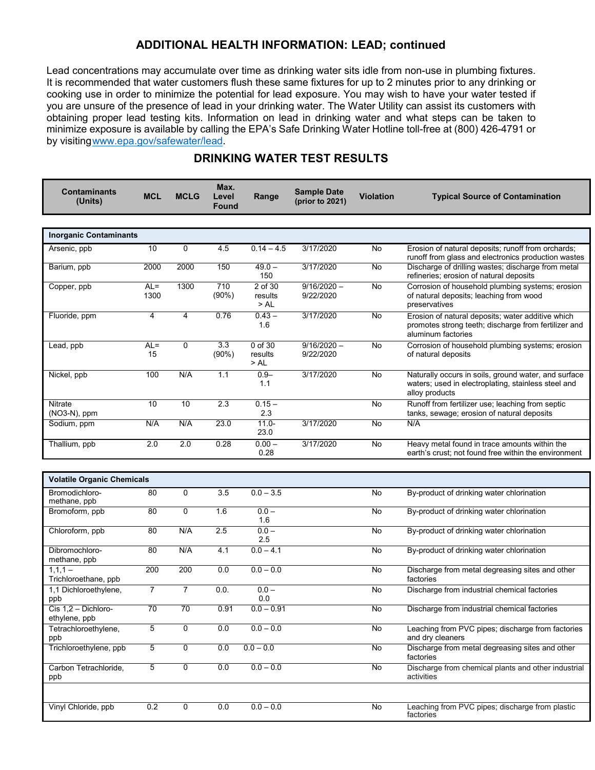#### **ADDITIONAL HEALTH INFORMATION: LEAD; continued**

Lead concentrations may accumulate over time as drinking water sits idle from non-use in plumbing fixtures. It is recommended that water customers flush these same fixtures for up to 2 minutes prior to any drinking or cooking use in order to minimize the potential for lead exposure. You may wish to have your water tested if you are unsure of the presence of lead in your drinking water. The Water Utility can assist its customers with obtaining proper lead testing kits. Information on lead in drinking water and what steps can be taken to minimize exposure is available by calling the EPA's Safe Drinking Water Hotline toll-free at (800) 426-4791 or by visitin[gwww.epa.gov/safewater/lead.](http://www.epa.gov/safewater/lead)

| <b>Contaminants</b><br>(Units)       | <b>MCL</b>      | <b>MCLG</b>     | Max.<br>Level<br><b>Found</b> | Range                       | <b>Sample Date</b><br>(prior to 2021) | <b>Violation</b> | <b>Typical Source of Contamination</b>                                                                                          |  |
|--------------------------------------|-----------------|-----------------|-------------------------------|-----------------------------|---------------------------------------|------------------|---------------------------------------------------------------------------------------------------------------------------------|--|
| <b>Inorganic Contaminants</b>        |                 |                 |                               |                             |                                       |                  |                                                                                                                                 |  |
| Arsenic, ppb                         | 10              | 0               | 4.5                           | $0.14 - 4.5$                | 3/17/2020                             | No               | Erosion of natural deposits; runoff from orchards;<br>runoff from glass and electronics production wastes                       |  |
| Barium, ppb                          | 2000            | 2000            | 150                           | $49.0 -$<br>150             | 3/17/2020                             | No               | Discharge of drilling wastes; discharge from metal<br>refineries; erosion of natural deposits                                   |  |
| Copper, ppb                          | $AL =$<br>1300  | 1300            | $\overline{710}$<br>(90%)     | 2 of 30<br>results<br>>AL   | $9/16/2020 -$<br>9/22/2020            | No               | Corrosion of household plumbing systems; erosion<br>of natural deposits; leaching from wood<br>preservatives                    |  |
| Fluoride, ppm                        | 4               | 4               | 0.76                          | $0.43 -$<br>1.6             | 3/17/2020                             | No               | Erosion of natural deposits; water additive which<br>promotes strong teeth; discharge from fertilizer and<br>aluminum factories |  |
| Lead, ppb                            | $AL =$<br>15    | 0               | 3.3<br>$(90\%)$               | $0$ of 30<br>results<br>>AL | $9/16/2020 -$<br>9/22/2020            | No               | Corrosion of household plumbing systems; erosion<br>of natural deposits                                                         |  |
| Nickel, ppb                          | 100             | N/A             | 1.1                           | $0.9 -$<br>1.1              | 3/17/2020                             | No               | Naturally occurs in soils, ground water, and surface<br>waters; used in electroplating, stainless steel and<br>alloy products   |  |
| <b>Nitrate</b><br>(NO3-N), ppm       | $\overline{10}$ | $\overline{10}$ | $\overline{2.3}$              | $0.15 -$<br>2.3             |                                       | No               | Runoff from fertilizer use; leaching from septic<br>tanks, sewage; erosion of natural deposits                                  |  |
| Sodium, ppm                          | N/A             | N/A             | 23.0                          | $11.0 -$<br>23.0            | 3/17/2020                             | No               | N/A                                                                                                                             |  |
| Thallium, ppb                        | 2.0             | 2.0             | 0.28                          | $0.00 -$<br>0.28            | 3/17/2020                             | No               | Heavy metal found in trace amounts within the<br>earth's crust; not found free within the environment                           |  |
| <b>Volatile Organic Chemicals</b>    |                 |                 |                               |                             |                                       |                  |                                                                                                                                 |  |
| Bromodichloro-<br>methane, ppb       | 80              | $\mathbf 0$     | 3.5                           | $0.0 - 3.5$                 |                                       | No               | By-product of drinking water chlorination                                                                                       |  |
| Bromoform, ppb                       | 80              | 0               | 1.6                           | $0.0 -$<br>1.6              |                                       | No               | By-product of drinking water chlorination                                                                                       |  |
| Chloroform, ppb                      | 80              | N/A             | 2.5                           | $0.0 -$<br>2.5              |                                       | No               | By-product of drinking water chlorination                                                                                       |  |
| Dibromochloro-<br>methane, ppb       | 80              | N/A             | 4.1                           | $0.0 - 4.1$                 |                                       | No               | By-product of drinking water chlorination                                                                                       |  |
| $1,1,1 -$<br>Trichloroethane, ppb    | 200             | 200             | 0.0                           | $0.0 - 0.0$                 |                                       | No               | Discharge from metal degreasing sites and other<br>factories                                                                    |  |
| 1,1 Dichloroethylene,<br>ppb         | $\overline{7}$  | $\overline{7}$  | 0.0.                          | $0.0 -$<br>0.0              |                                       | No               | Discharge from industrial chemical factories                                                                                    |  |
| Cis 1,2 - Dichloro-<br>ethylene, ppb | 70              | 70              | 0.91                          | $0.0 - 0.91$                |                                       | No               | Discharge from industrial chemical factories                                                                                    |  |
| Tetrachloroethylene,<br>ppb          | 5               | 0               | 0.0                           | $0.0 - 0.0$                 |                                       | No               | Leaching from PVC pipes; discharge from factories<br>and dry cleaners                                                           |  |
| Trichloroethylene, ppb               | 5               | 0               | 0.0                           | $0.0 - 0.0$                 |                                       | No               | Discharge from metal degreasing sites and other<br>factories                                                                    |  |
| Carbon Tetrachloride,<br>ppb         | 5               | 0               | 0.0                           | $0.0 - 0.0$                 |                                       | No               | Discharge from chemical plants and other industrial<br>activities                                                               |  |

# **DRINKING WATER TEST RESULTS**

| Vinyl Chloride, ppb | 0.2 | 0.0 | $-0.0$<br>0.0 | Leaching from PVC pipes; discharge from plastic<br>No<br>factories |  |
|---------------------|-----|-----|---------------|--------------------------------------------------------------------|--|
|                     |     |     |               |                                                                    |  |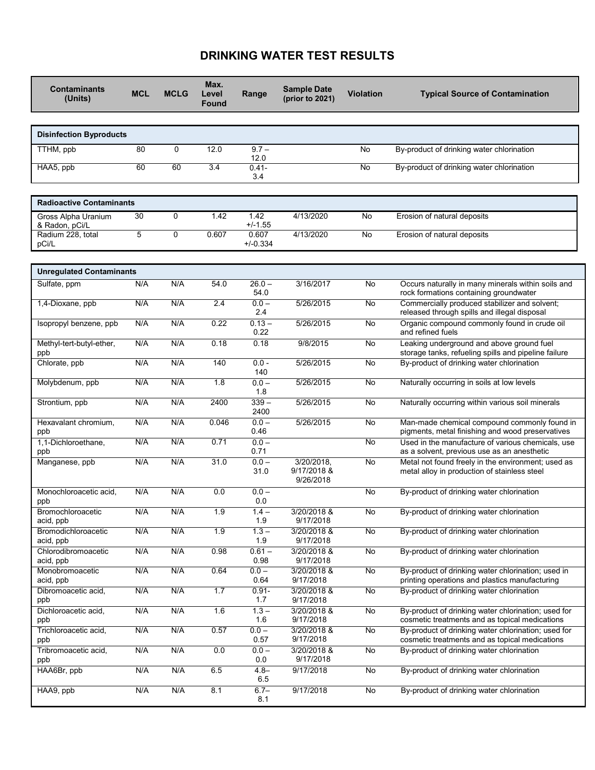# **DRINKING WATER TEST RESULTS**

| <b>Contaminants</b><br>(Units)        | <b>MCL</b> | <b>MCLG</b> | Max.<br>Level<br><b>Found</b> | Range                   | <b>Sample Date</b><br>(prior to 2021)  | <b>Violation</b> | <b>Typical Source of Contamination</b>                                                                |  |
|---------------------------------------|------------|-------------|-------------------------------|-------------------------|----------------------------------------|------------------|-------------------------------------------------------------------------------------------------------|--|
| <b>Disinfection Byproducts</b>        |            |             |                               |                         |                                        |                  |                                                                                                       |  |
| TTHM, ppb                             | 80         | 0           | 12.0                          | $9.7 -$                 |                                        | No               | By-product of drinking water chlorination                                                             |  |
| HAA5, ppb                             | 60         | 60          | 3.4                           | 12.0<br>$0.41 -$<br>3.4 |                                        | No               | By-product of drinking water chlorination                                                             |  |
| <b>Radioactive Contaminants</b>       |            |             |                               |                         |                                        |                  |                                                                                                       |  |
| Gross Alpha Uranium<br>& Radon, pCi/L | 30         | 0           | 1.42                          | 1.42<br>$+/-1.55$       | 4/13/2020                              | No               | Erosion of natural deposits                                                                           |  |
| Radium 228, total<br>pCi/L            | 5          | $\Omega$    | 0.607                         | 0.607<br>$+/-0.334$     | 4/13/2020                              | No               | Erosion of natural deposits                                                                           |  |
| <b>Unregulated Contaminants</b>       |            |             |                               |                         |                                        |                  |                                                                                                       |  |
| Sulfate, ppm                          | N/A        | N/A         | 54.0                          | $26.0 -$<br>54.0        | 3/16/2017                              | No               | Occurs naturally in many minerals within soils and<br>rock formations containing groundwater          |  |
| 1,4-Dioxane, ppb                      | N/A        | N/A         | 2.4                           | $0.0 -$<br>2.4          | 5/26/2015                              | No               | Commercially produced stabilizer and solvent;<br>released through spills and illegal disposal         |  |
| Isopropyl benzene, ppb                | N/A        | N/A         | 0.22                          | $0.13 -$<br>0.22        | 5/26/2015                              | No               | Organic compound commonly found in crude oil<br>and refined fuels                                     |  |
| Methyl-tert-butyl-ether,<br>ppb       | N/A        | N/A         | 0.18                          | 0.18                    | 9/8/2015                               | No               | Leaking underground and above ground fuel<br>storage tanks, refueling spills and pipeline failure     |  |
| Chlorate, ppb                         | N/A        | N/A         | 140                           | $0.0 -$<br>140          | 5/26/2015                              | No               | By-product of drinking water chlorination                                                             |  |
| Molybdenum, ppb                       | N/A        | N/A         | 1.8                           | $0.0 -$<br>1.8          | 5/26/2015                              | No               | Naturally occurring in soils at low levels                                                            |  |
| Strontium, ppb                        | N/A        | N/A         | 2400                          | $339 -$<br>2400         | 5/26/2015                              | No               | Naturally occurring within various soil minerals                                                      |  |
| Hexavalant chromium,<br>ppb           | N/A        | N/A         | 0.046                         | $0.0 -$<br>0.46         | 5/26/2015                              | No               | Man-made chemical compound commonly found in<br>pigments, metal finishing and wood preservatives      |  |
| 1,1-Dichloroethane,<br>ppb            | N/A        | N/A         | 0.71                          | $0.0 -$<br>0.71         |                                        | No               | Used in the manufacture of various chemicals, use<br>as a solvent, previous use as an anesthetic      |  |
| Manganese, ppb                        | N/A        | N/A         | 31.0                          | $0.0 -$<br>31.0         | 3/20/2018,<br>9/17/2018 &<br>9/26/2018 | No               | Metal not found freely in the environment; used as<br>metal alloy in production of stainless steel    |  |
| Monochloroacetic acid,<br>ppb         | N/A        | N/A         | 0.0                           | $0.0 -$<br>0.0          |                                        | No               | By-product of drinking water chlorination                                                             |  |
| Bromochloroacetic<br>acid, ppb        | N/A        | N/A         | 1.9                           | $1.4 -$<br>1.9          | 3/20/2018 &<br>9/17/2018               | No               | By-product of drinking water chlorination                                                             |  |
| Bromodichloroacetic<br>acid, ppb      | N/A        | N/A         | 1.9                           | $1.3 -$<br>1.9          | 3/20/2018 &<br>9/17/2018               | No               | By-product of drinking water chlorination                                                             |  |
| Chlorodibromoacetic<br>acid, ppb      | N/A        | N/A         | 0.98                          | $0.61 -$<br>0.98        | 3/20/2018 &<br>9/17/2018               | No               | By-product of drinking water chlorination                                                             |  |
| Monobromoacetic<br>acid, ppb          | N/A        | N/A         | 0.64                          | $0.0 -$<br>0.64         | 3/20/2018 &<br>9/17/2018               | No               | By-product of drinking water chlorination; used in<br>printing operations and plastics manufacturing  |  |
| Dibromoacetic acid,<br>ppb            | N/A        | N/A         | 1.7                           | $0.91 -$<br>1.7         | 3/20/2018 &<br>9/17/2018               | No               | By-product of drinking water chlorination                                                             |  |
| Dichloroacetic acid,<br>ppb           | N/A        | N/A         | 1.6                           | $1.3 -$<br>1.6          | 3/20/2018 &<br>9/17/2018               | No               | By-product of drinking water chlorination; used for<br>cosmetic treatments and as topical medications |  |
| Trichloroacetic acid,<br>ppb          | N/A        | N/A         | 0.57                          | $0.0 -$<br>0.57         | 3/20/2018 &<br>9/17/2018               | No               | By-product of drinking water chlorination; used for<br>cosmetic treatments and as topical medications |  |
| Tribromoacetic acid,<br>ppb           | N/A        | N/A         | 0.0                           | $0.0 -$<br>0.0          | 3/20/2018 &<br>9/17/2018               | No               | By-product of drinking water chlorination                                                             |  |
| HAA6Br, ppb                           | N/A        | N/A         | 6.5                           | $4.8 -$<br>6.5          | 9/17/2018                              | No               | By-product of drinking water chlorination                                                             |  |
| HAA9, ppb                             | N/A        | N/A         | 8.1                           | $6.7 -$<br>8.1          | 9/17/2018                              | No               | By-product of drinking water chlorination                                                             |  |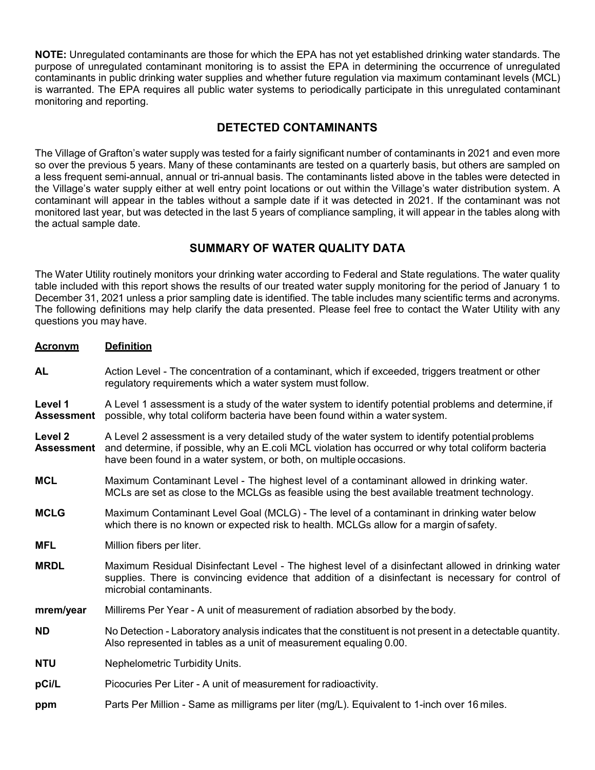**NOTE:** Unregulated contaminants are those for which the EPA has not yet established drinking water standards. The purpose of unregulated contaminant monitoring is to assist the EPA in determining the occurrence of unregulated contaminants in public drinking water supplies and whether future regulation via maximum contaminant levels (MCL) is warranted. The EPA requires all public water systems to periodically participate in this unregulated contaminant monitoring and reporting.

### **DETECTED CONTAMINANTS**

The Village of Grafton's water supply was tested for a fairly significant number of contaminants in 2021 and even more so over the previous 5 years. Many of these contaminants are tested on a quarterly basis, but others are sampled on a less frequent semi-annual, annual or tri-annual basis. The contaminants listed above in the tables were detected in the Village's water supply either at well entry point locations or out within the Village's water distribution system. A contaminant will appear in the tables without a sample date if it was detected in 2021. If the contaminant was not monitored last year, but was detected in the last 5 years of compliance sampling, it will appear in the tables along with the actual sample date.

#### **SUMMARY OF WATER QUALITY DATA**

The Water Utility routinely monitors your drinking water according to Federal and State regulations. The water quality table included with this report shows the results of our treated water supply monitoring for the period of January 1 to December 31, 2021 unless a prior sampling date is identified. The table includes many scientific terms and acronyms. The following definitions may help clarify the data presented. Please feel free to contact the Water Utility with any questions you may have.

| <b>Acronym</b>               | <b>Definition</b>                                                                                                                                                                                                                                                             |
|------------------------------|-------------------------------------------------------------------------------------------------------------------------------------------------------------------------------------------------------------------------------------------------------------------------------|
| <b>AL</b>                    | Action Level - The concentration of a contaminant, which if exceeded, triggers treatment or other<br>regulatory requirements which a water system must follow.                                                                                                                |
| Level 1<br><b>Assessment</b> | A Level 1 assessment is a study of the water system to identify potential problems and determine, if<br>possible, why total coliform bacteria have been found within a water system.                                                                                          |
| Level 2<br><b>Assessment</b> | A Level 2 assessment is a very detailed study of the water system to identify potential problems<br>and determine, if possible, why an E.coli MCL violation has occurred or why total coliform bacteria<br>have been found in a water system, or both, on multiple occasions. |
| <b>MCL</b>                   | Maximum Contaminant Level - The highest level of a contaminant allowed in drinking water.<br>MCLs are set as close to the MCLGs as feasible using the best available treatment technology.                                                                                    |
| <b>MCLG</b>                  | Maximum Contaminant Level Goal (MCLG) - The level of a contaminant in drinking water below<br>which there is no known or expected risk to health. MCLGs allow for a margin of safety.                                                                                         |
| <b>MFL</b>                   | Million fibers per liter.                                                                                                                                                                                                                                                     |
| <b>MRDL</b>                  | Maximum Residual Disinfectant Level - The highest level of a disinfectant allowed in drinking water<br>supplies. There is convincing evidence that addition of a disinfectant is necessary for control of<br>microbial contaminants.                                          |
| mrem/year                    | Millirems Per Year - A unit of measurement of radiation absorbed by the body.                                                                                                                                                                                                 |
| <b>ND</b>                    | No Detection - Laboratory analysis indicates that the constituent is not present in a detectable quantity.<br>Also represented in tables as a unit of measurement equaling 0.00.                                                                                              |
| <b>NTU</b>                   | Nephelometric Turbidity Units.                                                                                                                                                                                                                                                |
| pCi/L                        | Picocuries Per Liter - A unit of measurement for radioactivity.                                                                                                                                                                                                               |
| ppm                          | Parts Per Million - Same as milligrams per liter (mg/L). Equivalent to 1-inch over 16 miles.                                                                                                                                                                                  |